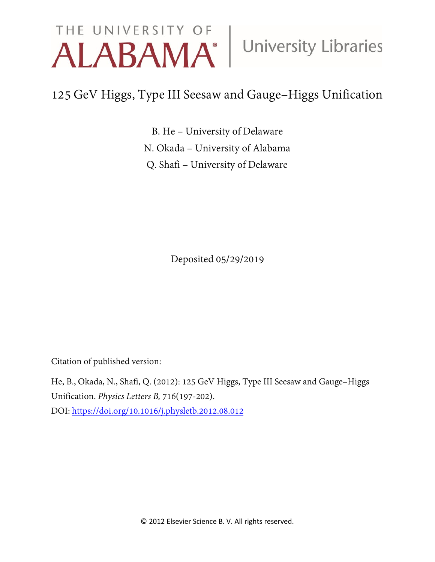# THE UNIVERSITY OF University Libraries

## 125 GeV Higgs, Type III Seesaw and Gauge–Higgs Unification

B. He – University of Delaware N. Okada – University of Alabama Q. Shafi – University of Delaware

Deposited 05/29/2019

Citation of published version:

He, B., Okada, N., Shafi, Q. (2012): 125 GeV Higgs, Type III Seesaw and Gauge–Higgs Unification. *Physics Letters B,* 716(197-202). DOI: <https://doi.org/10.1016/j.physletb.2012.08.012>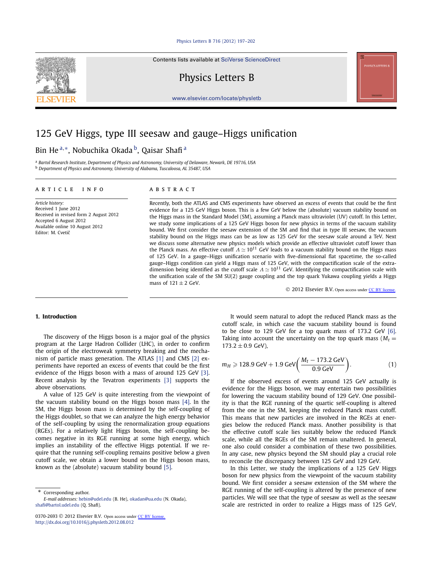#### [Physics Letters B 716 \(2012\) 197–202](http://dx.doi.org/10.1016/j.physletb.2012.08.012)

Contents lists available at [SciVerse ScienceDirect](http://www.ScienceDirect.com/)

Physics Letters B

[www.elsevier.com/locate/physletb](http://www.elsevier.com/locate/physletb)

## 125 GeV Higgs, type III seesaw and gauge–Higgs unification

### Bin He<sup>a,∗</sup>, Nobuchika Okada <sup>b</sup>, Qaisar Shafi<sup>a</sup>

<sup>a</sup> *Bartol Research Institute, Department of Physics and Astronomy, University of Delaware, Newark, DE 19716, USA* <sup>b</sup> *Department of Physics and Astronomy, University of Alabama, Tuscaloosa, AL 35487, USA*

#### article info abstract

*Article history:* Received 1 June 2012 Received in revised form 2 August 2012 Accepted 6 August 2012 Available online 10 August 2012 Editor: M. Cvetič

Recently, both the ATLAS and CMS experiments have observed an excess of events that could be the first evidence for a 125 GeV Higgs boson. This is a few GeV below the (absolute) vacuum stability bound on the Higgs mass in the Standard Model (SM), assuming a Planck mass ultraviolet (UV) cutoff. In this Letter, we study some implications of a 125 GeV Higgs boson for new physics in terms of the vacuum stability bound. We first consider the seesaw extension of the SM and find that in type III seesaw, the vacuum stability bound on the Higgs mass can be as low as 125 GeV for the seesaw scale around a TeV. Next we discuss some alternative new physics models which provide an effective ultraviolet cutoff lower than the Planck mass. An effective cutoff  $\Lambda \simeq 10^{11}$  GeV leads to a vacuum stability bound on the Higgs mass of 125 GeV. In a gauge–Higgs unification scenario with five-dimensional flat spacetime, the so-called gauge–Higgs condition can yield a Higgs mass of 125 GeV, with the compactification scale of the extradimension being identified as the cutoff scale  $\Lambda \simeq 10^{11}$  GeV. Identifying the compactification scale with the unification scale of the SM SU(2) gauge coupling and the top quark Yukawa coupling yields a Higgs mass of  $121 \pm 2$  GeV.

© 2012 Elsevier B.V. Open access under [CC BY license.](http://creativecommons.org/licenses/by/3.0/)

#### **1. Introduction**

The discovery of the Higgs boson is a major goal of the physics program at the Large Hadron Collider (LHC), in order to confirm the origin of the electroweak symmetry breaking and the mechanism of particle mass generation. The ATLAS [\[1\]](#page-5-0) and CMS [\[2\]](#page-5-0) experiments have reported an excess of events that could be the first evidence of the Higgs boson with a mass of around 125 GeV [\[3\].](#page-5-0) Recent analysis by the Tevatron experiments [\[3\]](#page-5-0) supports the above observations.

A value of 125 GeV is quite interesting from the viewpoint of the vacuum stability bound on the Higgs boson mass [\[4\].](#page-5-0) In the SM, the Higgs boson mass is determined by the self-coupling of the Higgs doublet, so that we can analyze the high energy behavior of the self-coupling by using the renormalization group equations (RGEs). For a relatively light Higgs boson, the self-coupling becomes negative in its RGE running at some high energy, which implies an instability of the effective Higgs potential. If we require that the running self-coupling remains positive below a given cutoff scale, we obtain a lower bound on the Higgs boson mass, known as the (absolute) vacuum stability bound [\[5\].](#page-5-0)

Corresponding author. *E-mail addresses:* [hebin@udel.edu](mailto:hebin@udel.edu) (B. He), [okadan@ua.edu](mailto:okadan@ua.edu) (N. Okada), [shafi@bartol.udel.edu](mailto:shafi@bartol.udel.edu) (Q. Shafi).

It would seem natural to adopt the reduced Planck mass as the cutoff scale, in which case the vacuum stability bound is found to be close to 129 GeV for a top quark mass of 173.2 GeV [\[6\].](#page-5-0) Taking into account the uncertainty on the top quark mass  $(M_t =$ 173*.*2 ± 0*.*9 GeV),

$$
m_H \ge 128.9 \text{ GeV} + 1.9 \text{ GeV} \bigg( \frac{M_t - 173.2 \text{ GeV}}{0.9 \text{ GeV}} \bigg).
$$
 (1)

If the observed excess of events around 125 GeV actually is evidence for the Higgs boson, we may entertain two possibilities for lowering the vacuum stability bound of 129 GeV. One possibility is that the RGE running of the quartic self-coupling is altered from the one in the SM, keeping the reduced Planck mass cutoff. This means that new particles are involved in the RGEs at energies below the reduced Planck mass. Another possibility is that the effective cutoff scale lies suitably below the reduced Planck scale, while all the RGEs of the SM remain unaltered. In general, one also could consider a combination of these two possibilities. In any case, new physics beyond the SM should play a crucial role to reconcile the discrepancy between 125 GeV and 129 GeV.

In this Letter, we study the implications of a 125 GeV Higgs boson for new physics from the viewpoint of the vacuum stability bound. We first consider a seesaw extension of the SM where the RGE running of the self-coupling is altered by the presence of new particles. We will see that the type of seesaw as well as the seesaw scale are restricted in order to realize a Higgs mass of 125 GeV,

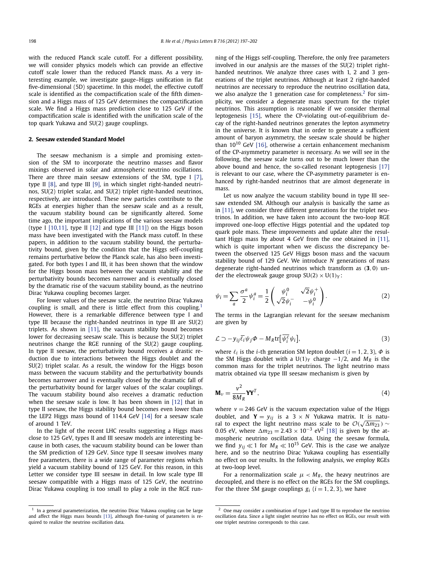with the reduced Planck scale cutoff. For a different possibility, we will consider physics models which can provide an effective cutoff scale lower than the reduced Planck mass. As a very interesting example, we investigate gauge–Higgs unification in flat five-dimensional (5D) spacetime. In this model, the effective cutoff scale is identified as the compactification scale of the fifth dimension and a Higgs mass of 125 GeV determines the compactification scale. We find a Higgs mass prediction close to 125 GeV if the compactification scale is identified with the unification scale of the top quark Yukawa and SU(2) gauge couplings.

#### **2. Seesaw extended Standard Model**

The seesaw mechanism is a simple and promising extension of the SM to incorporate the neutrino masses and flavor mixings observed in solar and atmospheric neutrino oscillations. There are three main seesaw extensions of the SM, type I [\[7\],](#page-5-0) type II [\[8\],](#page-5-0) and type III [\[9\],](#page-5-0) in which singlet right-handed neutrinos, SU(2) triplet scalar, and SU(2) triplet right-handed neutrinos, respectively, are introduced. These new particles contribute to the RGEs at energies higher than the seesaw scale and as a result, the vacuum stability bound can be significantly altered. Some time ago, the important implications of the various seesaw models (type I  $[10,11]$ , type II  $[12]$  and type III  $[11]$ ) on the Higgs boson mass have been investigated with the Planck mass cutoff. In these papers, in addition to the vacuum stability bound, the perturbativity bound, given by the condition that the Higgs self-coupling remains perturbative below the Planck scale, has also been investigated. For both types I and III, it has been shown that the window for the Higgs boson mass between the vacuum stability and the perturbativity bounds becomes narrower and is eventually closed by the dramatic rise of the vacuum stability bound, as the neutrino Dirac Yukawa coupling becomes larger.

For lower values of the seesaw scale, the neutrino Dirac Yukawa coupling is small, and there is little effect from this coupling.<sup>1</sup> However, there is a remarkable difference between type I and type III because the right-handed neutrinos in type III are SU(2) triplets. As shown in [\[11\],](#page-5-0) the vacuum stability bound becomes lower for decreasing seesaw scale. This is because the SU(2) triplet neutrinos change the RGE running of the SU(2) gauge coupling. In type II seesaw, the perturbativity bound receives a drastic reduction due to interactions between the Higgs doublet and the SU(2) triplet scalar. As a result, the window for the Higgs boson mass between the vacuum stability and the perturbativity bounds becomes narrower and is eventually closed by the dramatic fall of the perturbativity bound for larger values of the scalar couplings. The vacuum stability bound also receives a dramatic reduction when the seesaw scale is low. It has been shown in [\[12\]](#page-5-0) that in type II seesaw, the Higgs stability bound becomes even lower than the LEP2 Higgs mass bound of 114.4 GeV [\[14\]](#page-5-0) for a seesaw scale of around 1 TeV.

In the light of the recent LHC results suggesting a Higgs mass close to 125 GeV, types II and III seesaw models are interesting because in both cases, the vacuum stability bound can be lower than the SM prediction of 129 GeV. Since type II seesaw involves many free parameters, there is a wide range of parameter regions which yield a vacuum stability bound of 125 GeV. For this reason, in this Letter we consider type III seesaw in detail. In low scale type III seesaw compatible with a Higgs mass of 125 GeV, the neutrino Dirac Yukawa coupling is too small to play a role in the RGE running of the Higgs self-coupling. Therefore, the only free parameters involved in our analysis are the masses of the SU(2) triplet righthanded neutrinos. We analyze three cases with 1, 2 and 3 generations of the triplet neutrinos. Although at least 2 right-handed neutrinos are necessary to reproduce the neutrino oscillation data, we also analyze the 1 generation case for completeness.<sup>2</sup> For simplicity, we consider a degenerate mass spectrum for the triplet neutrinos. This assumption is reasonable if we consider thermal leptogenesis [\[15\],](#page-5-0) where the CP-violating out-of-equilibrium decay of the right-handed neutrinos generates the lepton asymmetry in the universe. It is known that in order to generate a sufficient amount of baryon asymmetry, the seesaw scale should be higher than  $10^{10}$  GeV [\[16\],](#page-5-0) otherwise a certain enhancement mechanism of the CP-asymmetry parameter is necessary. As we will see in the following, the seesaw scale turns out to be much lower than the above bound and hence, the so-called resonant leptogenesis [\[17\]](#page-5-0) is relevant to our case, where the CP-asymmetry parameter is enhanced by right-handed neutrinos that are almost degenerate in mass.

Let us now analyze the vacuum stability bound in type III seesaw extended SM. Although our analysis is basically the same as in [\[11\],](#page-5-0) we consider three different generations for the triplet neutrinos. In addition, we have taken into account the two-loop RGE improved one-loop effective Higgs potential and the updated top quark pole mass. These improvements and update alter the resultant Higgs mass by about 4 GeV from the one obtained in [\[11\],](#page-5-0) which is quite important when we discuss the discrepancy between the observed 125 GeV Higgs boson mass and the vacuum stability bound of 129 GeV. We introduce *N* generations of mass degenerate right-handed neutrinos which transform as *(***3***,* 0*)* under the electroweak gauge group  $SU(2) \times U(1)_Y$ :

$$
\psi_i = \sum_a \frac{\sigma^a}{2} \psi_i^a = \frac{1}{2} \begin{pmatrix} \psi_i^0 & \sqrt{2} \psi_i^+ \\ \sqrt{2} \psi_i^- & -\psi_i^0 \end{pmatrix} . \tag{2}
$$

The terms in the Lagrangian relevant for the seesaw mechanism are given by

$$
\mathcal{L} \supset -y_{ij}\overline{\ell_i}\psi_j\Phi - M_R \text{tr}[\overline{\psi_i^c}\psi_i],\tag{3}
$$

where  $\ell_i$  is the *i*-th generation SM lepton doublet ( $i = 1, 2, 3$ ),  $\Phi$  is the SM Higgs doublet with a U(1)<sub>*Y*</sub> charge  $-1/2$ , and  $M_R$  is the common mass for the triplet neutrinos. The light neutrino mass matrix obtained via type III seesaw mechanism is given by

$$
\mathbf{M}_{\nu} = \frac{\nu^2}{8M_R} \mathbf{Y} \mathbf{Y}^T,\tag{4}
$$

where  $v = 246$  GeV is the vacuum expectation value of the Higgs doublet, and **Y** =  $y_{ij}$  is a 3 × N Yukawa matrix. It is natural to expect the light neutrino mass scale to be  $O(\sqrt{\Delta m_{23}}) \sim$ 0.05 eV, where  $\Delta m_{23} = 2.43 \times 10^{-3}$  eV<sup>2</sup> [\[18\]](#page-5-0) is given by the atmospheric neutrino oscillation data. Using the seesaw formula, we find  $y_{ij} \ll 1$  for  $M_R \ll 10^{15}$  GeV. This is the case we analyze here, and so the neutrino Dirac Yukawa coupling has essentially no effect on our results. In the following analysis, we employ RGEs at two-loop level.

For a renormalization scale  $\mu < M_R$ , the heavy neutrinos are decoupled, and there is no effect on the RGEs for the SM couplings. For the three SM gauge couplings  $g_i$  ( $i = 1, 2, 3$ ), we have

 $1$  In a general parameterization, the neutrino Dirac Yukawa coupling can be large and affect the Higgs mass bounds [\[13\],](#page-5-0) although fine-tuning of parameters is required to realize the neutrino oscillation data.

 $2$  One may consider a combination of type I and type III to reproduce the neutrino oscillation data. Since a light singlet neutrino has no effect on RGEs, our result with one triplet neutrino corresponds to this case.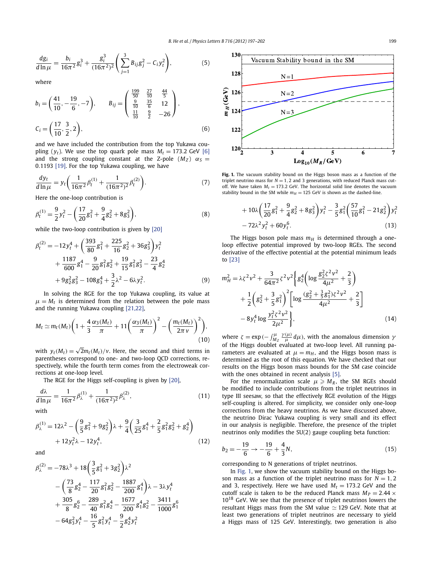<span id="page-3-0"></span>
$$
\frac{dg_i}{d\ln\mu} = \frac{b_i}{16\pi^2}g_i^3 + \frac{g_i^3}{(16\pi^2)^2} \left(\sum_{j=1}^3 B_{ij}g_j^2 - C_i y_t^2\right),\tag{5}
$$

where

$$
b_i = \left(\frac{41}{10}, -\frac{19}{6}, -7\right), \qquad B_{ij} = \left(\begin{array}{ccc} \frac{199}{50} & \frac{27}{10} & \frac{44}{5} \\ \frac{9}{10} & \frac{35}{6} & 12 \\ \frac{11}{10} & \frac{9}{2} & -26 \end{array}\right),
$$
  

$$
C_i = \left(\frac{17}{10}, \frac{3}{2}, 2\right), \tag{6}
$$

and we have included the contribution from the top Yukawa coupling  $(y_t)$ . We use the top quark pole mass  $M_t = 173.2$  GeV [\[6\]](#page-5-0) and the strong coupling constant at the Z-pole  $(M_Z)$   $\alpha_S =$ 0*.*1193 [\[19\].](#page-5-0) For the top Yukawa coupling, we have

$$
\frac{dy_t}{d\ln\mu} = y_t \bigg( \frac{1}{16\pi^2} \beta_t^{(1)} + \frac{1}{(16\pi^2)^2} \beta_t^{(2)} \bigg). \tag{7}
$$

Here the one-loop contribution is

$$
\beta_t^{(1)} = \frac{9}{2} y_t^2 - \left(\frac{17}{20} g_1^2 + \frac{9}{4} g_2^2 + 8 g_3^2\right),\tag{8}
$$

while the two-loop contribution is given by [\[20\]](#page-5-0)

$$
\beta_t^{(2)} = -12y_t^4 + \left(\frac{393}{80}g_1^2 + \frac{225}{16}g_2^2 + 36g_3^2\right)y_t^2
$$
  
+ 
$$
\frac{1187}{600}g_1^4 - \frac{9}{20}g_1^2g_2^2 + \frac{19}{15}g_1^2g_3^2 - \frac{23}{4}g_2^4
$$
  
+ 
$$
9g_2^2g_3^2 - 108g_3^4 + \frac{3}{2}\lambda^2 - 6\lambda y_t^2.
$$
 (9)

In solving the RGE for the top Yukawa coupling, its value at  $\mu = M_t$  is determined from the relation between the pole mass and the running Yukawa coupling [\[21,22\],](#page-5-0)

$$
M_t \simeq m_t(M_t) \bigg( 1 + \frac{4}{3} \frac{\alpha_3(M_t)}{\pi} + 11 \bigg( \frac{\alpha_3(M_t)}{\pi} \bigg)^2 - \bigg( \frac{m_t(M_t)}{2\pi v} \bigg)^2 \bigg), \tag{10}
$$

with  $y_t(M_t) = \sqrt{2}m_t(M_t)/v$ . Here, the second and third terms in parentheses correspond to one- and two-loop QCD corrections, respectively, while the fourth term comes from the electroweak corrections at one-loop level.

The RGE for the Higgs self-coupling is given by [\[20\],](#page-5-0)

$$
\frac{d\lambda}{d\ln\mu} = \frac{1}{16\pi^2} \beta_{\lambda}^{(1)} + \frac{1}{(16\pi^2)^2} \beta_{\lambda}^{(2)},
$$
\n(11)

$$
\beta_{\lambda}^{(1)} = 12\lambda^2 - \left(\frac{9}{5}g_1^2 + 9g_2^2\right)\lambda + \frac{9}{4}\left(\frac{3}{25}g_1^4 + \frac{2}{5}g_1^2g_2^2 + g_2^4\right) + 12y_t^2\lambda - 12y_t^4,\tag{12}
$$

and

$$
\beta_{\lambda}^{(2)} = -78\lambda^{3} + 18\left(\frac{3}{5}g_{1}^{2} + 3g_{2}^{2}\right)\lambda^{2}
$$
  
 
$$
- \left(\frac{73}{8}g_{2}^{4} - \frac{117}{20}g_{1}^{2}g_{2}^{2} - \frac{1887}{200}g_{1}^{4}\right)\lambda - 3\lambda y_{t}^{4}
$$
  
 
$$
+ \frac{305}{8}g_{2}^{6} - \frac{289}{40}g_{1}^{2}g_{2}^{4} - \frac{1677}{200}g_{1}^{4}g_{2}^{2} - \frac{3411}{1000}g_{1}^{6}
$$
  
 
$$
- 64g_{3}^{2}y_{t}^{4} - \frac{16}{5}g_{1}^{2}y_{t}^{4} - \frac{9}{2}g_{2}^{4}y_{t}^{2}
$$

 $\overline{3}$ 



Fig. 1. The vacuum stability bound on the Higgs boson mass as a function of the triplet neutrino mass for  $N = 1, 2$  and 3 generations, with reduced Planck mass cutoff. We have taken  $M_t = 173.2$  GeV. The horizontal solid line denotes the vacuum stability bound in the SM while  $m_H = 125$  GeV is shown as the dashed-line.

$$
+10\lambda \left(\frac{17}{20}g_1^2+\frac{9}{4}g_2^2+8g_3^2\right)y_t^2-\frac{3}{5}g_1^2\left(\frac{57}{10}g_1^2-21g_2^2\right)y_t^2-72\lambda^2y_t^2+60y_t^6.
$$
\n(13)

The Higgs boson pole mass  $m_H$  is determined through a oneloop effective potential improved by two-loop RGEs. The second derivative of the effective potential at the potential minimum leads to [\[23\]](#page-5-0)

$$
m_H^2 = \lambda \zeta^2 v^2 + \frac{3}{64\pi^2} \zeta^2 v^2 \left\{ g_2^4 \left( \log \frac{g_2^2 \zeta^2 v^2}{4\mu^2} + \frac{2}{3} \right) + \frac{1}{2} \left( g_2^2 + \frac{3}{5} g_1^2 \right)^2 \left[ \log \frac{(g_2^2 + \frac{3}{5} g_1^2) \zeta^2 v^2}{4\mu^2} + \frac{2}{3} \right] - 8 y_t^4 \log \frac{y_t^2 \zeta^2 v^2}{2\mu^2} \right\},
$$
\n(14)

where  $\zeta = \exp(-\int_{M_Z}^{\mu} \frac{\gamma(\mu)}{\mu} d\mu)$ , with the anomalous dimension  $\gamma$ of the Higgs doublet evaluated at two-loop level. All running parameters are evaluated at  $\mu = m_H$ , and the Higgs boson mass is determined as the root of this equation. We have checked that our results on the Higgs boson mass bounds for the SM case coincide with the ones obtained in recent analysis [\[5\].](#page-5-0)

For the renormalization scale  $\mu \geqslant M_R$ , the SM RGEs should be modified to include contributions from the triplet neutrinos in type III seesaw, so that the effectively RGE evolution of the Higgs self-coupling is altered. For simplicity, we consider only one-loop corrections from the heavy neutrinos. As we have discussed above, the neutrino Dirac Yukawa coupling is very small and its effect in our analysis is negligible. Therefore, the presence of the triplet neutrinos only modifies the SU(2) gauge coupling beta function:

$$
b_2 = -\frac{19}{6} \to -\frac{19}{6} + \frac{4}{3}N,\tag{15}
$$

corresponding to N generations of triplet neutrinos.

In Fig. 1, we show the vacuum stability bound on the Higgs boson mass as a function of the triplet neutrino mass for  $N = 1, 2$ and 3, respectively. Here we have used  $M_t = 173.2$  GeV and the cutoff scale is taken to be the reduced Planck mass  $M_P = 2.44 \times$  $10^{18}$  GeV. We see that the presence of triplet neutrinos lowers the resultant Higgs mass from the SM value  $\simeq$  129 GeV. Note that at least two generations of triplet neutrinos are necessary to yield a Higgs mass of 125 GeV. Interestingly, two generation is also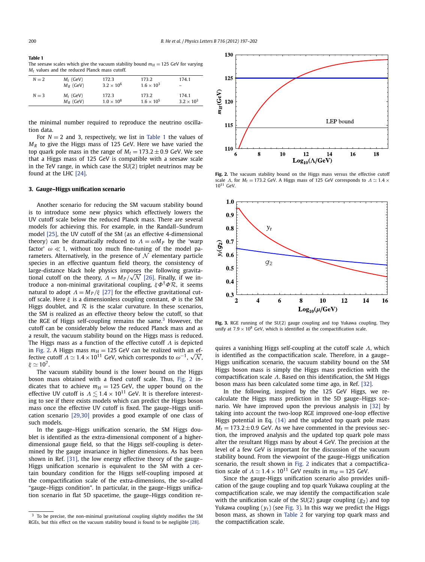**Table 1** The seesaw scales which give the vacuum stability bound  $m_H = 125$  GeV for varying *Mt* values and the reduced Planck mass cutoff.

| $N = 2$ | $M_t$ (GeV)<br>$M_R$ (GeV) | 172.3<br>$3.2 \times 10^{6}$ | 173.2<br>$1.6 \times 10^{3}$ | 174.1               |
|---------|----------------------------|------------------------------|------------------------------|---------------------|
| $N = 3$ | $M_t$ (GeV)                | 172.3                        | 173.2                        | 174.1               |
|         | $M_R$ (GeV)                | $1.0 \times 10^8$            | $1.6 \times 10^5$            | $3.2 \times 10^{3}$ |

the minimal number required to reproduce the neutrino oscillation data.

For  $N = 2$  and 3, respectively, we list in Table 1 the values of *M<sub>R</sub>* to give the Higgs mass of 125 GeV. Here we have varied the top quark pole mass in the range of  $M_t = 173.2 \pm 0.9$  GeV. We see that a Higgs mass of 125 GeV is compatible with a seesaw scale in the TeV range, in which case the SU(2) triplet neutrinos may be found at the LHC [\[24\].](#page-5-0)

#### **3. Gauge–Higgs unification scenario**

Another scenario for reducing the SM vacuum stability bound is to introduce some new physics which effectively lowers the UV cutoff scale below the reduced Planck mass. There are several models for achieving this. For example, in the Randall–Sundrum model [\[25\],](#page-5-0) the UV cutoff of the SM (as an effective 4-dimensional theory) can be dramatically reduced to  $\Lambda = \omega M_P$  by the 'warp factor'  $\omega \ll 1$ , without too much fine-tuning of the model parameters. Alternatively, in the presence of  $\mathcal N$  elementary particle species in an effective quantum field theory, the consistency of large-distance black hole physics imposes the following gravita-√ tional cutoff on the theory,  $A = M_P / \sqrt{N}$  [\[26\].](#page-5-0) Finally, if we introduce a non-minimal gravitational coupling, *ξΦ*†*Φ*R, it seems natural to adopt  $\Lambda = M_P/\xi$  [\[27\]](#page-5-0) for the effective gravitational cutoff scale. Here *ξ* is a dimensionless coupling constant, *Φ* is the SM Higgs doublet, and  $R$  is the scalar curvature. In these scenarios, the SM is realized as an effective theory below the cutoff, so that the RGE of Higgs self-coupling remains the same. $3$  However, the cutoff can be considerably below the reduced Planck mass and as a result, the vacuum stability bound on the Higgs mass is reduced. The Higgs mass as a function of the effective cutoff *Λ* is depicted in Fig. 2. A Higgs mass  $m_H = 125$  GeV can be realized with an effective cutoff  $\Lambda \simeq 1.4 \times 10^{11}$  GeV, which corresponds to  $\omega^{-1}$ ,  $\sqrt{\mathcal{N}}$ ,  $\xi \simeq 10^7$ .

The vacuum stability bound is the lower bound on the Higgs boson mass obtained with a fixed cutoff scale. Thus, Fig. 2 indicates that to achieve  $m_H = 125$  GeV, the upper bound on the effective UV cutoff is  $\Lambda \leq 1.4 \times 10^{11}$  GeV. It is therefore interesting to see if there exists models which can predict the Higgs boson mass once the effective UV cutoff is fixed. The gauge–Higgs unification scenario [\[29,30\]](#page-5-0) provides a good example of one class of such models.

In the gauge–Higgs unification scenario, the SM Higgs doublet is identified as the extra-dimensional component of a higherdimensional gauge field, so that the Higgs self-coupling is determined by the gauge invariance in higher dimensions. As has been shown in Ref. [\[31\],](#page-6-0) the low energy effective theory of the gauge– Higgs unification scenario is equivalent to the SM with a certain boundary condition for the Higgs self-coupling imposed at the compactification scale of the extra-dimensions, the so-called "gauge–Higgs condition". In particular, in the gauge–Higgs unification scenario in flat 5D spacetime, the gauge–Higgs condition re-



**Fig. 2.** The vacuum stability bound on the Higgs mass versus the effective cutoff scale *Λ*, for  $M_t = 173.2$  GeV. A Higgs mass of 125 GeV corresponds to  $Λ \approx 1.4$  × 10<sup>11</sup> GeV.



**Fig. 3.** RGE running of the SU(2) gauge coupling and top Yukawa coupling. They unify at  $7.9 \times 10^8$  GeV, which is identified as the compactification scale.

quires a vanishing Higgs self-coupling at the cutoff scale *Λ*, which is identified as the compactification scale. Therefore, in a gauge– Higgs unification scenario, the vacuum stability bound on the SM Higgs boson mass is simply the Higgs mass prediction with the compactification scale *Λ*. Based on this identification, the SM Higgs boson mass has been calculated some time ago, in Ref. [\[32\].](#page-6-0)

In the following, inspired by the 125 GeV Higgs, we recalculate the Higgs mass prediction in the 5D gauge–Higgs scenario. We have improved upon the previous analysis in [\[32\]](#page-6-0) by taking into account the two-loop RGE improved one-loop effective Higgs potential in Eq. [\(14\)](#page-3-0) and the updated top quark pole mass  $M_t = 173.2 \pm 0.9$  GeV. As we have commented in the previous section, the improved analysis and the updated top quark pole mass alter the resultant Higgs mass by about 4 GeV. The precision at the level of a few GeV is important for the discussion of the vacuum stability bound. From the viewpoint of the gauge–Higgs unification scenario, the result shown in Fig. 2 indicates that a compactification scale of  $A \simeq 1.4 \times 10^{11}$  GeV results in  $m_H = 125$  GeV.

Since the gauge-Higgs unification scenario also provides unification of the gauge coupling and top quark Yukawa coupling at the compactification scale, we may identify the compactification scale with the unification scale of the  $SU(2)$  gauge coupling  $(g_2)$  and top Yukawa coupling  $(y_t)$  (see Fig. 3). In this way we predict the Higgs boson mass, as shown in [Table 2](#page-5-0) for varying top quark mass and the compactification scale.

<sup>3</sup> To be precise, the non-minimal gravitational coupling slightly modifies the SM RGEs, but this effect on the vacuum stability bound is found to be negligible [\[28\].](#page-5-0)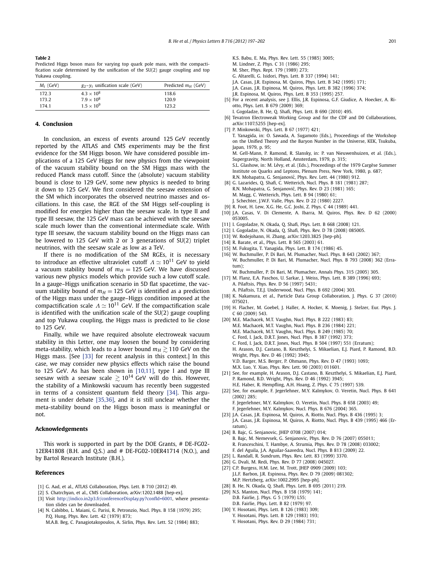<span id="page-5-0"></span>**Table 2** Predicted Higgs boson mass for varying top quark pole mass, with the compactification scale determined by the unification of the SU(2) gauge coupling and top Yukawa coupling.

| $M_t$ (GeV) | $g_2 - v_t$ unification scale (GeV) | Predicted $m_H$ (GeV) |
|-------------|-------------------------------------|-----------------------|
| 172.3       | $4.3 \times 10^{8}$                 | 118.6                 |
| 173.2       | $7.9 \times 10^8$                   | 120.9                 |
| 1741        | $1.5 \times 10^{9}$                 | 123.2                 |

#### **4. Conclusion**

In conclusion, an excess of events around 125 GeV recently reported by the ATLAS and CMS experiments may be the first evidence for the SM Higgs boson. We have considered possible implications of a 125 GeV Higgs for new physics from the viewpoint of the vacuum stability bound on the SM Higgs mass with the reduced Planck mass cutoff. Since the (absolute) vacuum stability bound is close to 129 GeV, some new physics is needed to bring it down to 125 GeV. We first considered the seesaw extension of the SM which incorporates the observed neutrino masses and oscillations. In this case, the RGE of the SM Higgs self-coupling is modified for energies higher than the seesaw scale. In type II and type III seesaw, the 125 GeV mass can be achieved with the seesaw scale much lower than the conventional intermediate scale. With type III seesaw, the vacuum stability bound on the Higgs mass can be lowered to 125 GeV with 2 or 3 generations of SU(2) triplet neutrinos, with the seesaw scale as low as a TeV.

If there is no modification of the SM RGEs, it is necessary to introduce an effective ultraviolet cutoff  $\Lambda \simeq 10^{11}$  GeV to yield a vacuum stability bound of  $m_H = 125$  GeV. We have discussed various new physics models which provide such a low cutoff scale. In a gauge–Higgs unification scenario in 5D flat spacetime, the vacuum stability bound of  $m_H = 125$  GeV is identified as a prediction of the Higgs mass under the gauge–Higgs condition imposed at the compactification scale  $\Lambda \simeq 10^{11}$  GeV. If the compactification scale is identified with the unification scale of the SU(2) gauge coupling and top Yukawa coupling, the Higgs mass is predicted to lie close to 125 GeV.

Finally, while we have required absolute electroweak vacuum stability in this Letter, one may loosen the bound by considering meta-stability, which leads to a lower bound  $m_H \gtrsim 110$  GeV on the Higgs mass. [See [\[33\]](#page-6-0) for recent analysis in this context.] In this case, we may consider new physics effects which raise the bound to 125 GeV. As has been shown in [10,11], type I and type III seesaw with a seesaw scale  $\gtrsim 10^{14}$  GeV will do this. However, the stability of a Minkowski vacuum has recently been suggested in terms of a consistent quantum field theory [\[34\].](#page-6-0) This argument is under debate [\[35,36\],](#page-6-0) and it is still unclear whether the meta-stability bound on the Higgs boson mass is meaningful or not.

#### **Acknowledgements**

This work is supported in part by the DOE Grants, # DE-FG02- 12ER41808 (B.H. and Q.S.) and # DE-FG02-10ER41714 (N.O.), and by Bartol Research Institute (B.H.).

#### **References**

- [1] G. Aad, et al., ATLAS Collaboration, Phys. Lett. B 710 (2012) 49.
- [2] S. Chatrchyan, et al., CMS Collaboration, arXiv:1202.1488 [hep-ex].
- [3] Visit [http://indico.in2p3.fr/conferenceDisplay.py?confId=6001,](http://indico.in2p3.fr/conferenceDisplay.py?confId=6001) where presentation slides can be downloaded.
- [4] N. Cabibbo, L. Maiani, G. Parisi, R. Petronzio, Nucl. Phys. B 158 (1979) 295; P.Q. Hung, Phys. Rev. Lett. 42 (1979) 873;
	- M.A.B. Beg, C. Panagiotakopoulos, A. Sirlin, Phys. Rev. Lett. 52 (1984) 883;

K.S. Babu, E. Ma, Phys. Rev. Lett. 55 (1985) 3005; M. Lindner, Z. Phys. C 31 (1986) 295; M. Sher, Phys. Rept. 179 (1989) 273; G. Altarelli, G. Isidori, Phys. Lett. B 337 (1994) 141; J.A. Casas, J.R. Espinosa, M. Quiros, Phys. Lett. B 342 (1995) 171; J.A. Casas, J.R. Espinosa, M. Quiros, Phys. Lett. B 382 (1996) 374; J.R. Espinosa, M. Quiros, Phys. Lett. B 353 (1995) 257.

- [5] For a recent analysis, see J. Ellis, J.R. Espinosa, G.F. Giudice, A. Hoecker, A. Riotto, Phys. Lett. B 679 (2009)  $369$ ;
- I. Gogoladze, B. He, Q. Shafi, Phys. Lett. B 690 (2010) 495.
- [6] Tevatron Electroweak Working Group and for the CDF and D0 Collaborations, arXiv:1107.5255 [hep-ex].
- [7] P. Minkowski, Phys. Lett. B 67 (1977) 421: T. Yanagida, in: O. Sawada, A. Sugamoto (Eds.), Proceedings of the Workshop on the Unified Theory and the Baryon Number in the Universe, KEK, Tsukuba, Japan, 1979, p. 95; M. Gell-Mann, P. Ramond, R. Slansky, in: P. van Nieuwenhuizen, et al. (Eds.), Supergravity, North Holland, Amsterdam, 1979, p. 315; S.L. Glashow, in: M. Lévy, et al. (Eds.), Proceedings of the 1979 Cargèse Summer Institute on Quarks and Leptons, Plenum Press, New York, 1980, p. 687; R.N. Mohapatra, G. Senjanović, Phys. Rev. Lett. 44 (1980) 912. [8] G. Lazarides, Q. Shafi, C. Wetterich, Nucl. Phys. B 181 (1981) 287; R.N. Mohapatra, G. Senjanović, Phys. Rev. D 23 (1981) 165; M. Magg, C. Wetterich, Phys. Lett. B 94 (1980) 61;
- J. Schechter, J.W.F. Valle, Phys. Rev. D 22 (1980) 2227.
- [9] R. Foot, H. Lew, X.G. He, G.C. Joshi, Z. Phys. C 44 (1989) 441.
- [10] J.A. Casas, V. Di Clemente, A. Ibarra, M. Quiros, Phys. Rev. D 62 (2000) 053005.
- [11] I. Gogoladze, N. Okada, Q. Shafi, Phys. Lett. B 668 (2008) 121.
- [12] I. Gogoladze, N. Okada, Q. Shafi, Phys. Rev. D 78 (2008) 085005.
- [13] W. Rodejohann, H. Zhang, arXiv:1203.3825 [hep-ph].
- [14] R. Barate, et al., Phys. Lett. B 565 (2003) 61.
- [15] M. Fukugita, T. Yanagida, Phys. Lett. B 174 (1986) 45.
- [16] W. Buchmuller, P. Di Bari, M. Plumacher, Nucl. Phys. B 643 (2002) 367: W. Buchmuller, P. Di Bari, M. Plumacher, Nucl. Phys. B 793 (2008) 362 (Erratum);
- W. Buchmuller, P. Di Bari, M. Plumacher, Annals Phys. 315 (2005) 305. [17] M. Flanz, E.A. Paschos, U. Sarkar, J. Weiss, Phys. Lett. B 389 (1996) 693;
- A. Pilaftsis, Phys. Rev. D 56 (1997) 5431; A. Pilaftsis, T.E.J. Underwood, Nucl. Phys. B 692 (2004) 303.
- [18] K. Nakamura, et al., Particle Data Group Collaboration, J. Phys. G 37 (2010) 075021.
- [19] H. Flacher, M. Goebel, J. Haller, A. Hocker, K. Moenig, J. Stelzer, Eur. Phys. J. C 60 (2009) 543.
- [20] M.E. Machacek, M.T. Vaughn, Nucl. Phys. B 222 (1983) 83; M.E. Machacek, M.T. Vaughn, Nucl. Phys. B 236 (1984) 221; M.E. Machacek, M.T. Vaughn, Nucl. Phys. B 249 (1985) 70; C. Ford, I. Jack, D.R.T. Jones, Nucl. Phys. B 387 (1992) 373; C. Ford, I. Jack, D.R.T. Jones, Nucl. Phys. B 504 (1997) 551 (Erratum); H. Arason, D.J. Castano, B. Keszthelyi, S. Mikaelian, E.J. Piard, P. Ramond, B.D. Wright, Phys. Rev. D 46 (1992) 3945; V.D. Barger, M.S. Berger, P. Ohmann, Phys. Rev. D 47 (1993) 1093; M.X. Luo, Y. Xiao, Phys. Rev. Lett. 90 (2003) 011601.
- [21] See, for example, H. Arason, D.J. Castano, B. Keszthelyi, S. Mikaelian, E.J. Piard, P. Ramond, B.D. Wright, Phys. Rev. D 46 (1992) 3945; H.E. Haber, R. Hempfling, A.H. Hoang, Z. Phys. C 75 (1997) 539.
- [22] See, for example, F. Jegerlehner, M.Y. Kalmykov, O. Veretin, Nucl. Phys. B 641 (2002) 285; F. Jegerlehner, M.Y. Kalmykov, O. Veretin, Nucl. Phys. B 658 (2003) 49;
	- F. Jegerlehner, M.Y. Kalmykov, Nucl. Phys. B 676 (2004) 365.
- [23] J.A. Casas, J.R. Espinosa, M. Quiros, A. Riotto, Nucl. Phys. B 436 (1995) 3; J.A. Casas, J.R. Espinosa, M. Quiros, A. Riotto, Nucl. Phys. B 439 (1995) 466 (Erratum).
- [24] B. Bajc, G. Senjanovic, JHEP 0708 (2007) 014;
- B. Bajc, M. Nemevsek, G. Senjanovic, Phys. Rev. D 76 (2007) 055011; R. Franceschini, T. Hambye, A. Strumia, Phys. Rev. D 78 (2008) 033002; F. del Aguila, J.A. Aguilar-Saavedra, Nucl. Phys. B 813 (2009) 22.
- [25] L. Randall, R. Sundrum, Phys. Rev. Lett. 83 (1999) 3370.
- [26] G. Dvali, M. Redi, Phys. Rev. D 77 (2008) 045027.
- [27] C.P. Burgess, H.M. Lee, M. Trott, JHEP 0909 (2009) 103; J.L.F. Barbon, J.R. Espinosa, Phys. Rev. D 79 (2009) 081302; M.P. Hertzberg, arXiv:1002.2995 [hep-ph].
- [28] B. He, N. Okada, Q. Shafi, Phys. Lett. B 695 (2011) 219.
- [29] N.S. Manton, Nucl. Phys. B 158 (1979) 141;
	- D.B. Fairlie, J. Phys. G 5 (1979) L55; D.B. Fairlie, Phys. Lett. B 82 (1979) 97.
- [30] Y. Hosotani, Phys. Lett. B 126 (1983) 309; Y. Hosotani, Phys. Lett. B 129 (1983) 193; Y. Hosotani, Phys. Rev. D 29 (1984) 731;